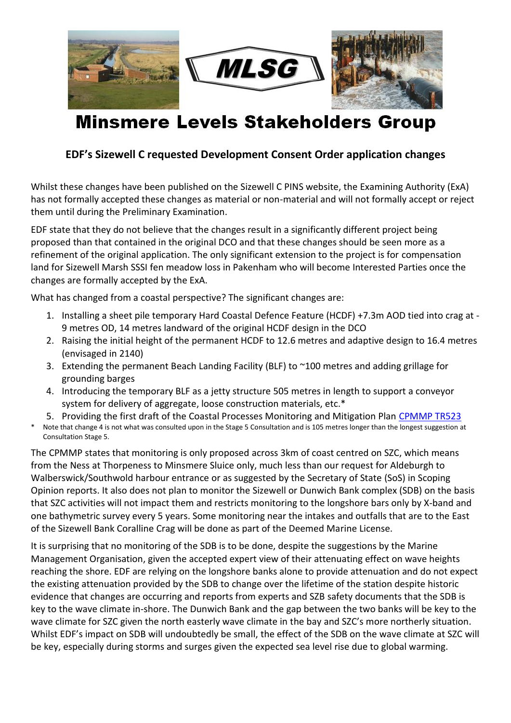

## **Minsmere Levels Stakeholders Group**

## **EDF's Sizewell C requested Development Consent Order application changes**

Whilst these changes have been published on the Sizewell C PINS website, the Examining Authority (ExA) has not formally accepted these changes as material or non-material and will not formally accept or reject them until during the Preliminary Examination.

EDF state that they do not believe that the changes result in a significantly different project being proposed than that contained in the original DCO and that these changes should be seen more as a refinement of the original application. The only significant extension to the project is for compensation land for Sizewell Marsh SSSI fen meadow loss in Pakenham who will become Interested Parties once the changes are formally accepted by the ExA.

What has changed from a coastal perspective? The significant changes are:

- 1. Installing a sheet pile temporary Hard Coastal Defence Feature (HCDF) +7.3m AOD tied into crag at 9 metres OD, 14 metres landward of the original HCDF design in the DCO
- 2. Raising the initial height of the permanent HCDF to 12.6 metres and adaptive design to 16.4 metres (envisaged in 2140)
- 3. Extending the permanent Beach Landing Facility (BLF) to ~100 metres and adding grillage for grounding barges
- 4. Introducing the temporary BLF as a jetty structure 505 metres in length to support a conveyor system for delivery of aggregate, loose construction materials, etc.\*
- 5. Providing the first draft of the Coastal Processes Monitoring and Mitigation Plan [CPMMP TR523](https://infrastructure.planninginspectorate.gov.uk/wp-content/ipc/uploads/projects/EN010012/EN010012-002988-SZC_Bk6_6.14_ESAdd_V3_Ch2_Appx2.15.A_Coastal_Geomorphology.pdf)
- Note that change 4 is not what was consulted upon in the Stage 5 Consultation and is 105 metres longer than the longest suggestion at Consultation Stage 5.

The CPMMP states that monitoring is only proposed across 3km of coast centred on SZC, which means from the Ness at Thorpeness to Minsmere Sluice only, much less than our request for Aldeburgh to Walberswick/Southwold harbour entrance or as suggested by the Secretary of State (SoS) in Scoping Opinion reports. It also does not plan to monitor the Sizewell or Dunwich Bank complex (SDB) on the basis that SZC activities will not impact them and restricts monitoring to the longshore bars only by X-band and one bathymetric survey every 5 years. Some monitoring near the intakes and outfalls that are to the East of the Sizewell Bank Coralline Crag will be done as part of the Deemed Marine License.

It is surprising that no monitoring of the SDB is to be done, despite the suggestions by the Marine Management Organisation, given the accepted expert view of their attenuating effect on wave heights reaching the shore. EDF are relying on the longshore banks alone to provide attenuation and do not expect the existing attenuation provided by the SDB to change over the lifetime of the station despite historic evidence that changes are occurring and reports from experts and SZB safety documents that the SDB is key to the wave climate in-shore. The Dunwich Bank and the gap between the two banks will be key to the wave climate for SZC given the north easterly wave climate in the bay and SZC's more northerly situation. Whilst EDF's impact on SDB will undoubtedly be small, the effect of the SDB on the wave climate at SZC will be key, especially during storms and surges given the expected sea level rise due to global warming.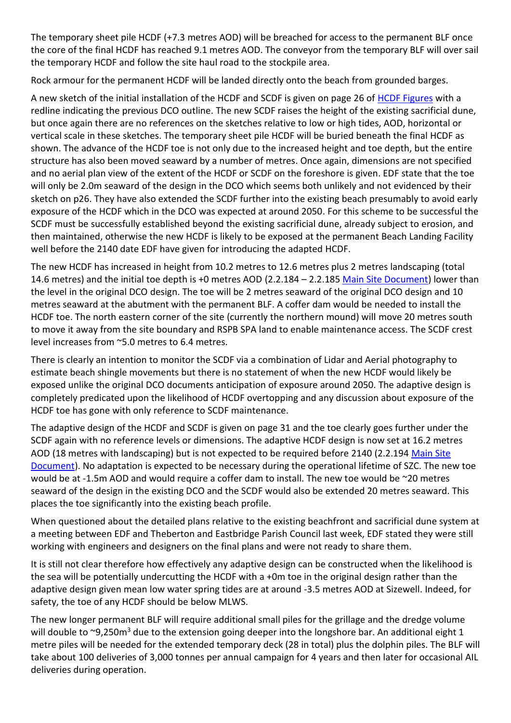The temporary sheet pile HCDF (+7.3 metres AOD) will be breached for access to the permanent BLF once the core of the final HCDF has reached 9.1 metres AOD. The conveyor from the temporary BLF will over sail the temporary HCDF and follow the site haul road to the stockpile area.

Rock armour for the permanent HCDF will be landed directly onto the beach from grounded barges.

A new sketch of the initial installation of the HCDF and SCDF is given on page 26 of [HCDF Figures](https://infrastructure.planninginspectorate.gov.uk/wp-content/ipc/uploads/projects/EN010012/EN010012-002958-SZC_BK6_6.14_ESAdd_V2_Ch2_Part1of4_Fig2_02_01-2_02_32.pdf) with a redline indicating the previous DCO outline. The new SCDF raises the height of the existing sacrificial dune, but once again there are no references on the sketches relative to low or high tides, AOD, horizontal or vertical scale in these sketches. The temporary sheet pile HCDF will be buried beneath the final HCDF as shown. The advance of the HCDF toe is not only due to the increased height and toe depth, but the entire structure has also been moved seaward by a number of metres. Once again, dimensions are not specified and no aerial plan view of the extent of the HCDF or SCDF on the foreshore is given. EDF state that the toe will only be 2.0m seaward of the design in the DCO which seems both unlikely and not evidenced by their sketch on p26. They have also extended the SCDF further into the existing beach presumably to avoid early exposure of the HCDF which in the DCO was expected at around 2050. For this scheme to be successful the SCDF must be successfully established beyond the existing sacrificial dune, already subject to erosion, and then maintained, otherwise the new HCDF is likely to be exposed at the permanent Beach Landing Facility well before the 2140 date EDF have given for introducing the adapted HCDF.

The new HCDF has increased in height from 10.2 metres to 12.6 metres plus 2 metres landscaping (total 14.6 metres) and the initial toe depth is +0 metres AOD (2.2.184 – 2.2.185 [Main Site Document\)](https://infrastructure.planninginspectorate.gov.uk/wp-content/ipc/uploads/projects/EN010012/EN010012-002919-SZC_Bk6_6.14_ESAdd_V1_Ch2_Main_Development_Site.pdf) lower than the level in the original DCO design. The toe will be 2 metres seaward of the original DCO design and 10 metres seaward at the abutment with the permanent BLF. A coffer dam would be needed to install the HCDF toe. The north eastern corner of the site (currently the northern mound) will move 20 metres south to move it away from the site boundary and RSPB SPA land to enable maintenance access. The SCDF crest level increases from ~5.0 metres to 6.4 metres.

There is clearly an intention to monitor the SCDF via a combination of Lidar and Aerial photography to estimate beach shingle movements but there is no statement of when the new HCDF would likely be exposed unlike the original DCO documents anticipation of exposure around 2050. The adaptive design is completely predicated upon the likelihood of HCDF overtopping and any discussion about exposure of the HCDF toe has gone with only reference to SCDF maintenance.

The adaptive design of the HCDF and SCDF is given on page 31 and the toe clearly goes further under the SCDF again with no reference levels or dimensions. The adaptive HCDF design is now set at 16.2 metres AOD (18 metres with landscaping) but is not expected to be required before 2140 (2.2.194 [Main Site](https://infrastructure.planninginspectorate.gov.uk/wp-content/ipc/uploads/projects/EN010012/EN010012-002919-SZC_Bk6_6.14_ESAdd_V1_Ch2_Main_Development_Site.pdf)  [Document\)](https://infrastructure.planninginspectorate.gov.uk/wp-content/ipc/uploads/projects/EN010012/EN010012-002919-SZC_Bk6_6.14_ESAdd_V1_Ch2_Main_Development_Site.pdf). No adaptation is expected to be necessary during the operational lifetime of SZC. The new toe would be at -1.5m AOD and would require a coffer dam to install. The new toe would be ~20 metres seaward of the design in the existing DCO and the SCDF would also be extended 20 metres seaward. This places the toe significantly into the existing beach profile.

When questioned about the detailed plans relative to the existing beachfront and sacrificial dune system at a meeting between EDF and Theberton and Eastbridge Parish Council last week, EDF stated they were still working with engineers and designers on the final plans and were not ready to share them.

It is still not clear therefore how effectively any adaptive design can be constructed when the likelihood is the sea will be potentially undercutting the HCDF with a +0m toe in the original design rather than the adaptive design given mean low water spring tides are at around -3.5 metres AOD at Sizewell. Indeed, for safety, the toe of any HCDF should be below MLWS.

The new longer permanent BLF will require additional small piles for the grillage and the dredge volume will double to  $\sim$ 9,250m<sup>3</sup> due to the extension going deeper into the longshore bar. An additional eight 1 metre piles will be needed for the extended temporary deck (28 in total) plus the dolphin piles. The BLF will take about 100 deliveries of 3,000 tonnes per annual campaign for 4 years and then later for occasional AIL deliveries during operation.